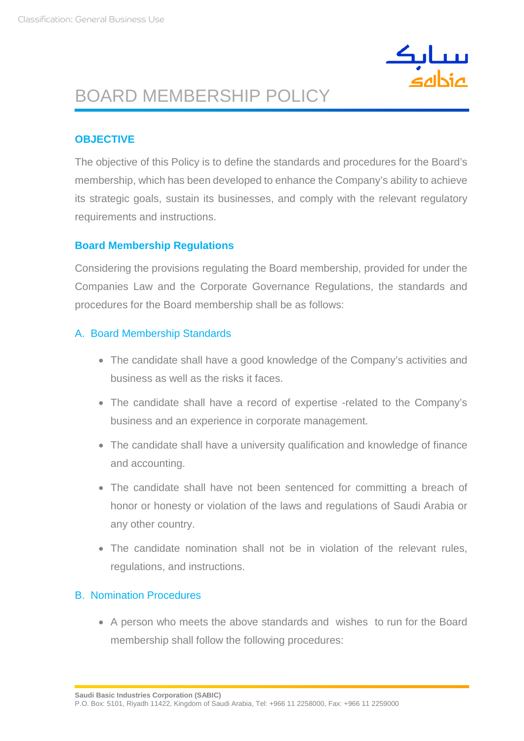

## BOARD MEMBERSHIP POLICY

#### **OBJECTIVE**

The objective of this Policy is to define the standards and procedures for the Board's membership, which has been developed to enhance the Company's ability to achieve its strategic goals, sustain its businesses, and comply with the relevant regulatory requirements and instructions.

#### **Board Membership Regulations**

Considering the provisions regulating the Board membership, provided for under the Companies Law and the Corporate Governance Regulations, the standards and procedures for the Board membership shall be as follows:

#### A. Board Membership Standards

- The candidate shall have a good knowledge of the Company's activities and business as well as the risks it faces.
- The candidate shall have a record of expertise -related to the Company's business and an experience in corporate management.
- The candidate shall have a university qualification and knowledge of finance and accounting.
- The candidate shall have not been sentenced for committing a breach of honor or honesty or violation of the laws and regulations of Saudi Arabia or any other country.
- The candidate nomination shall not be in violation of the relevant rules, regulations, and instructions.

#### B. Nomination Procedures

• A person who meets the above standards and wishes to run for the Board membership shall follow the following procedures:

**Saudi Basic Industries Corporation (SABIC)**

P.O. Box: 5101, Riyadh 11422, Kingdom of Saudi Arabia, Tel: +966 11 2258000, Fax: +966 11 2259000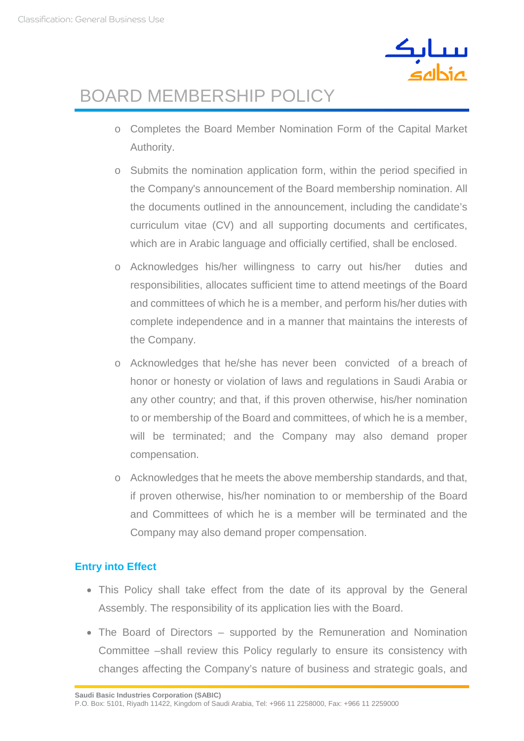

# BOARD MEMBERSHIP POLICY

- o Completes the Board Member Nomination Form of the Capital Market Authority.
- o Submits the nomination application form, within the period specified in the Company's announcement of the Board membership nomination. All the documents outlined in the announcement, including the candidate's curriculum vitae (CV) and all supporting documents and certificates, which are in Arabic language and officially certified, shall be enclosed.
- o Acknowledges his/her willingness to carry out his/her duties and responsibilities, allocates sufficient time to attend meetings of the Board and committees of which he is a member, and perform his/her duties with complete independence and in a manner that maintains the interests of the Company.
- o Acknowledges that he/she has never been convicted of a breach of honor or honesty or violation of laws and regulations in Saudi Arabia or any other country; and that, if this proven otherwise, his/her nomination to or membership of the Board and committees, of which he is a member, will be terminated; and the Company may also demand proper compensation.
- o Acknowledges that he meets the above membership standards, and that, if proven otherwise, his/her nomination to or membership of the Board and Committees of which he is a member will be terminated and the Company may also demand proper compensation.

### **Entry into Effect**

- This Policy shall take effect from the date of its approval by the General Assembly. The responsibility of its application lies with the Board.
- The Board of Directors supported by the Remuneration and Nomination Committee –shall review this Policy regularly to ensure its consistency with changes affecting the Company's nature of business and strategic goals, and

**Saudi Basic Industries Corporation (SABIC)**